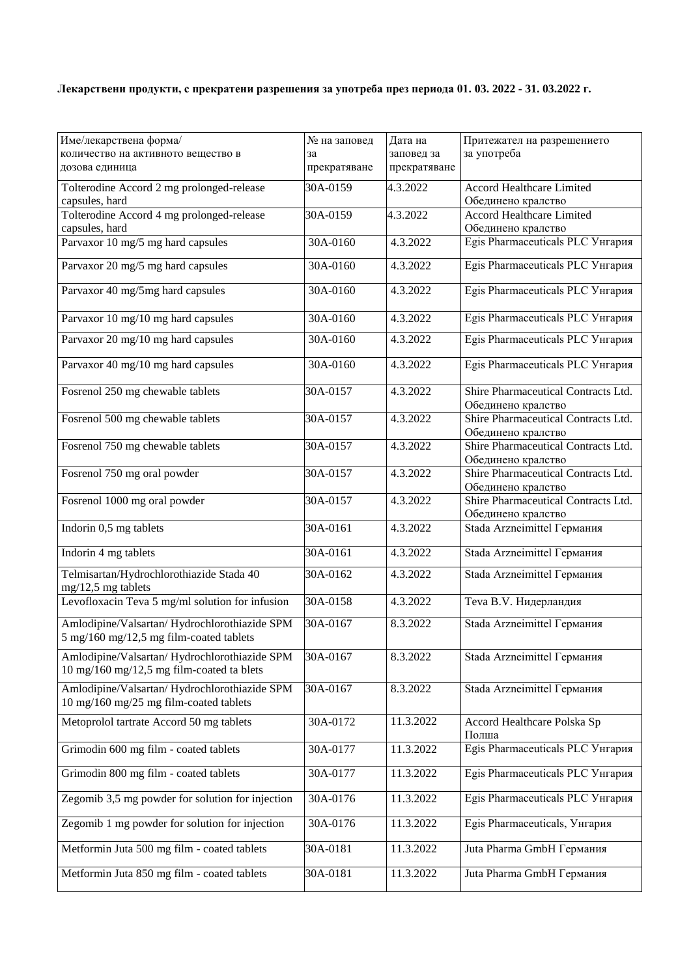## **Лекарствени продукти, с прекратени разрешения за употреба през периода 01. 03. 2022 - 31. 03.2022 г.**

| Име/лекарствена форма/                                                                  | № на заповед       | Дата на                    | Притежател на разрешението                                |
|-----------------------------------------------------------------------------------------|--------------------|----------------------------|-----------------------------------------------------------|
| количество на активното вещество в<br>дозова единица                                    | за<br>прекратяване | заповед за<br>прекратяване | за употреба                                               |
|                                                                                         |                    |                            |                                                           |
| Tolterodine Accord 2 mg prolonged-release                                               | 30A-0159           | 4.3.2022                   | <b>Accord Healthcare Limited</b>                          |
| capsules, hard<br>Tolterodine Accord 4 mg prolonged-release                             | 30A-0159           | 4.3.2022                   | Обединено кралство<br>Accord Healthcare Limited           |
| capsules, hard                                                                          |                    |                            | Обединено кралство                                        |
| Parvaxor 10 mg/5 mg hard capsules                                                       | 30A-0160           | 4.3.2022                   | Egis Pharmaceuticals PLC Унгария                          |
|                                                                                         |                    |                            |                                                           |
| Parvaxor 20 mg/5 mg hard capsules                                                       | 30A-0160           | 4.3.2022                   | Egis Pharmaceuticals PLC Унгария                          |
| Parvaxor 40 mg/5mg hard capsules                                                        | 30A-0160           | 4.3.2022                   | Egis Pharmaceuticals PLC Унгария                          |
| Parvaxor 10 mg/10 mg hard capsules                                                      | 30A-0160           | 4.3.2022                   | Egis Pharmaceuticals PLC Унгария                          |
| Parvaxor 20 mg/10 mg hard capsules                                                      | 30A-0160           | 4.3.2022                   | Egis Pharmaceuticals PLC Унгария                          |
| Parvaxor 40 mg/10 mg hard capsules                                                      | 30A-0160           | 4.3.2022                   | Egis Pharmaceuticals PLC Унгария                          |
| Fosrenol 250 mg chewable tablets                                                        | 30A-0157           | 4.3.2022                   | Shire Pharmaceutical Contracts Ltd.<br>Обединено кралство |
| Fosrenol 500 mg chewable tablets                                                        | 30A-0157           | 4.3.2022                   | Shire Pharmaceutical Contracts Ltd.<br>Обединено кралство |
| Fosrenol 750 mg chewable tablets                                                        | 30A-0157           | 4.3.2022                   | Shire Pharmaceutical Contracts Ltd.                       |
|                                                                                         |                    |                            | Обединено кралство                                        |
| Fosrenol 750 mg oral powder                                                             | 30A-0157           | 4.3.2022                   | Shire Pharmaceutical Contracts Ltd.<br>Обединено кралство |
| Fosrenol 1000 mg oral powder                                                            | 30A-0157           | 4.3.2022                   | Shire Pharmaceutical Contracts Ltd.                       |
|                                                                                         |                    |                            | Обединено кралство                                        |
| Indorin 0,5 mg tablets                                                                  | 30A-0161           | 4.3.2022                   | Stada Arzneimittel Германия                               |
| Indorin 4 mg tablets                                                                    | 30A-0161           | 4.3.2022                   | Stada Arzneimittel Германия                               |
| Telmisartan/Hydrochlorothiazide Stada 40<br>mg/12,5 mg tablets                          | 30A-0162           | 4.3.2022                   | Stada Arzneimittel Германия                               |
| Levofloxacin Teva 5 mg/ml solution for infusion                                         | 30A-0158           | 4.3.2022                   | Teva B.V. Нидерландия                                     |
| Amlodipine/Valsartan/Hydrochlorothiazide SPM<br>5 mg/160 mg/12,5 mg film-coated tablets | 30A-0167           | 8.3.2022                   | Stada Arzneimittel Германия                               |
| Amlodipine/Valsartan/Hydrochlorothiazide SPM                                            | 30A-0167           | 8.3.2022                   | Stada Arzneimittel Германия                               |
| $10 \text{ mg}/160 \text{ mg}/12,5 \text{ mg film-coated}$ ta blets                     |                    |                            |                                                           |
| Amlodipine/Valsartan/Hydrochlorothiazide SPM<br>10 mg/160 mg/25 mg film-coated tablets  | 30A-0167           | 8.3.2022                   | Stada Arzneimittel Германия                               |
| Metoprolol tartrate Accord 50 mg tablets                                                | 30A-0172           | 11.3.2022                  | Accord Healthcare Polska Sp<br>Полша                      |
| Grimodin 600 mg film - coated tablets                                                   | 30A-0177           | 11.3.2022                  | Egis Pharmaceuticals PLC Унгария                          |
| Grimodin 800 mg film - coated tablets                                                   | 30A-0177           | 11.3.2022                  | Egis Pharmaceuticals PLC Унгария                          |
| Zegomib 3,5 mg powder for solution for injection                                        | 30A-0176           | 11.3.2022                  | Egis Pharmaceuticals PLC Унгария                          |
| Zegomib 1 mg powder for solution for injection                                          | 30A-0176           | 11.3.2022                  | Egis Pharmaceuticals, Унгария                             |
| Metformin Juta 500 mg film - coated tablets                                             | 30A-0181           | 11.3.2022                  | Juta Pharma GmbH Германия                                 |
| Metformin Juta 850 mg film - coated tablets                                             | 30A-0181           | 11.3.2022                  | Juta Pharma GmbH Германия                                 |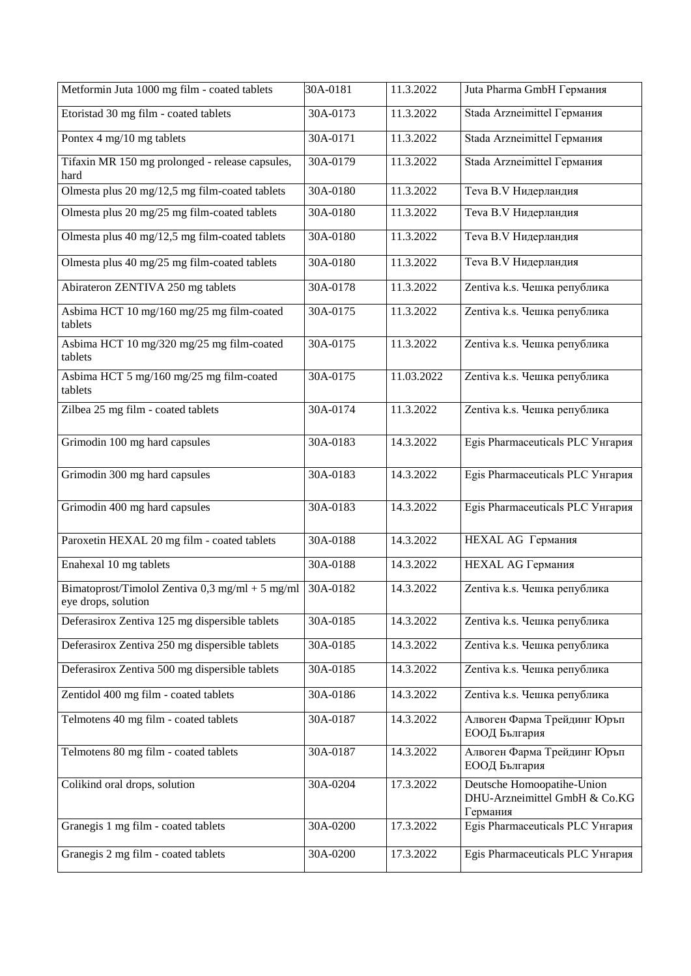| Metformin Juta 1000 mg film - coated tablets                             | 30A-0181     | 11.3.2022  | Juta Pharma GmbH Германия                                               |
|--------------------------------------------------------------------------|--------------|------------|-------------------------------------------------------------------------|
| Etoristad 30 mg film - coated tablets                                    | 30A-0173     | 11.3.2022  | Stada Arzneimittel Германия                                             |
| Pontex 4 mg/10 mg tablets                                                | 30A-0171     | 11.3.2022  | Stada Arzneimittel Германия                                             |
| Tifaxin MR 150 mg prolonged - release capsules,<br>hard                  | 30A-0179     | 11.3.2022  | Stada Arzneimittel Германия                                             |
| Olmesta plus 20 mg/12,5 mg film-coated tablets                           | 30A-0180     | 11.3.2022  | Teva B.V Нидерландия                                                    |
| Olmesta plus 20 mg/25 mg film-coated tablets                             | 30A-0180     | 11.3.2022  | Teva B.V Нидерландия                                                    |
| Olmesta plus 40 mg/12,5 mg film-coated tablets                           | 30A-0180     | 11.3.2022  | Teva B.V Нидерландия                                                    |
| Olmesta plus 40 mg/25 mg film-coated tablets                             | 30A-0180     | 11.3.2022  | Teva B.V Нидерландия                                                    |
| Abirateron ZENTIVA 250 mg tablets                                        | 30A-0178     | 11.3.2022  | Zentiva k.s. Чешка република                                            |
| Asbima HCT 10 mg/160 mg/25 mg film-coated<br>tablets                     | $30A - 0175$ | 11.3.2022  | Zentiva k.s. Чешка република                                            |
| Asbima HCT 10 mg/320 mg/25 mg film-coated<br>tablets                     | 30A-0175     | 11.3.2022  | Zentiva k.s. Чешка република                                            |
| Asbima HCT 5 mg/160 mg/25 mg film-coated<br>tablets                      | 30A-0175     | 11.03.2022 | Zentiva k.s. Чешка република                                            |
| Zilbea 25 mg film - coated tablets                                       | $30A - 0174$ | 11.3.2022  | Zentiva k.s. Чешка република                                            |
| Grimodin 100 mg hard capsules                                            | 30A-0183     | 14.3.2022  | Egis Pharmaceuticals PLC Унгария                                        |
| Grimodin 300 mg hard capsules                                            | 30A-0183     | 14.3.2022  | Egis Pharmaceuticals PLC Унгария                                        |
| Grimodin 400 mg hard capsules                                            | $30A - 0183$ | 14.3.2022  | Egis Pharmaceuticals PLC Унгария                                        |
| Paroxetin HEXAL 20 mg film - coated tablets                              | 30A-0188     | 14.3.2022  | <b>HEXAL AG Германия</b>                                                |
| Enahexal 10 mg tablets                                                   | 30A-0188     | 14.3.2022  | <b>HEXAL AG Германия</b>                                                |
| Bimatoprost/Timolol Zentiva $0,3$ mg/ml + 5 mg/ml<br>eye drops, solution | 30A-0182     | 14.3.2022  | Zentiva k.s. Чешка република                                            |
| Deferasirox Zentiva 125 mg dispersible tablets                           | 30A-0185     | 14.3.2022  | Zentiva k.s. Чешка република                                            |
| Deferasirox Zentiva 250 mg dispersible tablets                           | 30A-0185     | 14.3.2022  | Zentiva k.s. Чешка република                                            |
| Deferasirox Zentiva 500 mg dispersible tablets                           | 30A-0185     | 14.3.2022  | Zentiva k.s. Чешка република                                            |
| Zentidol 400 mg film - coated tablets                                    | 30A-0186     | 14.3.2022  | Zentiva k.s. Чешка република                                            |
| Telmotens 40 mg film - coated tablets                                    | 30A-0187     | 14.3.2022  | Алвоген Фарма Трейдинг Юръп<br>ЕООД България                            |
| Telmotens 80 mg film - coated tablets                                    | 30A-0187     | 14.3.2022  | Алвоген Фарма Трейдинг Юръп<br>ЕООД България                            |
| Colikind oral drops, solution                                            | 30A-0204     | 17.3.2022  | Deutsche Homoopatihe-Union<br>DHU-Arzneimittel GmbH & Co.KG<br>Германия |
| Granegis 1 mg film - coated tablets                                      | 30A-0200     | 17.3.2022  | Egis Pharmaceuticals PLC Унгария                                        |
| Granegis 2 mg film - coated tablets                                      | 30A-0200     | 17.3.2022  | Egis Pharmaceuticals PLC Унгария                                        |